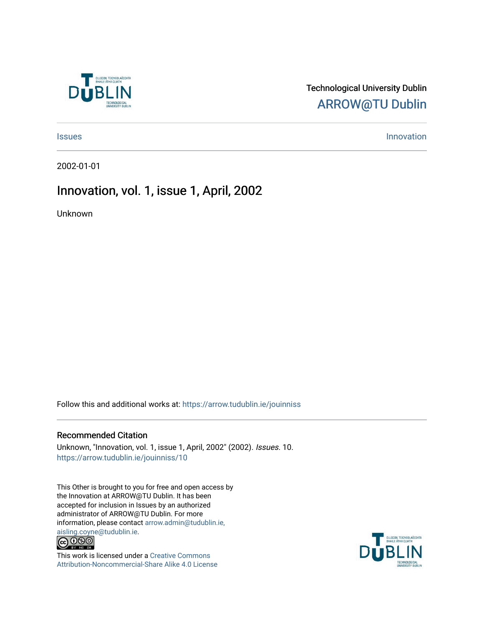

### Technological University Dublin [ARROW@TU Dublin](https://arrow.tudublin.ie/)

[Issues](https://arrow.tudublin.ie/jouinniss) **Innovation** 

2002-01-01

### Innovation, vol. 1, issue 1, April, 2002

Unknown

Follow this and additional works at: [https://arrow.tudublin.ie/jouinniss](https://arrow.tudublin.ie/jouinniss?utm_source=arrow.tudublin.ie%2Fjouinniss%2F10&utm_medium=PDF&utm_campaign=PDFCoverPages) 

#### Recommended Citation

Unknown, "Innovation, vol. 1, issue 1, April, 2002" (2002). Issues. 10. [https://arrow.tudublin.ie/jouinniss/10](https://arrow.tudublin.ie/jouinniss/10?utm_source=arrow.tudublin.ie%2Fjouinniss%2F10&utm_medium=PDF&utm_campaign=PDFCoverPages)

This Other is brought to you for free and open access by the Innovation at ARROW@TU Dublin. It has been accepted for inclusion in Issues by an authorized administrator of ARROW@TU Dublin. For more information, please contact [arrow.admin@tudublin.ie,](mailto:arrow.admin@tudublin.ie,%20aisling.coyne@tudublin.ie)  [aisling.coyne@tudublin.ie.](mailto:arrow.admin@tudublin.ie,%20aisling.coyne@tudublin.ie)<br>© 090



This work is licensed under a [Creative Commons](http://creativecommons.org/licenses/by-nc-sa/4.0/) [Attribution-Noncommercial-Share Alike 4.0 License](http://creativecommons.org/licenses/by-nc-sa/4.0/)

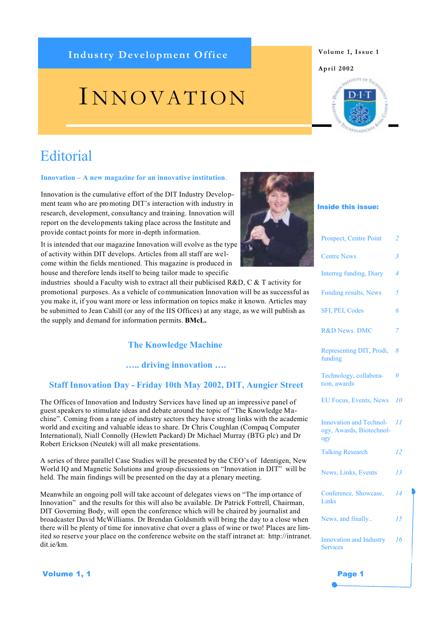### Industry Development Office **Volume 1, Issue 1**

# I NNOVATION

# **Editorial**

#### **Innovation – A new magazine for an innovative institution**.

Innovation is the cumulative effort of the DIT Industry Development team who are promoting DIT's interaction with industry in research, development, consultancy and training. Innovation will report on the developments taking place across the Institute and provide contact points for more in-depth information.

It is intended that our magazine Innovation will evolve as the type

promotional purposes. As a vehicle of communication Innovation will be as successful as you make it, if you want more or less information on topics make it known. Articles may the supply and demand for information permits. **BMcL.**

#### **….. driving innovation ….**

#### **Staff Innovation Day - Friday 10th May 2002, DIT, Aungier Street**

The Offices of Innovation and Industry Services have lined up an impressive panel of guest speakers to stimulate ideas and debate around the topic of "The Knowledge Machine". Coming from a range of industry sectors they have strong links with the academic world and exciting and valuable ideas to share. Dr Chris Coughlan (Compaq Computer International), Niall Connolly (Hewlett Packard) Dr Michael Murray (BTG plc) and Dr Robert Erickson (Neutek) will all make presentations.

A series of three parallel Case Studies will be presented by the CEO's of Identigen, New World IQ and Magnetic Solutions and group discussions on "Innovation in DIT" will be held. The main findings will be presented on the day at a plenary meeting.

Meanwhile an ongoing poll will take account of delegates views on "The imp ortance of Innovation" and the results for this will also be available. Dr Patrick Fottrell, Chairman, DIT Governing Body, will open the conference which will be chaired by journalist and broadcaster David McWilliams. Dr Brendan Goldsmith will bring the day to a close when there will be plenty of time for innovative chat over a glass of wine or two! Places are limited so reserve your place on the conference website on the staff intranet at: http://intranet. dit.ie/km.

**Volume 1, 1** Page 1

# of activity within DIT develops. Articles from all staff are welcome within the fields mentioned. This magazine is produced in house and therefore lends itself to being tailor made to specific industries should a Faculty wish to extract all their publicised R&D, C & T activity for be submitted to Jean Cahill (or any of the IIS Offices) at any stage, as we will publish as

### **The Knowledge Machine**



| Prospect, Centre Point                                            | $\overline{2}$ |
|-------------------------------------------------------------------|----------------|
| <b>Centre News</b>                                                | $\overline{3}$ |
| <b>Interreg funding, Diary</b>                                    | 4              |
| <b>Funding results, News</b>                                      | 5              |
| SFI, PEI, Codes                                                   | 6              |
| <b>R&amp;D News. DMC</b>                                          | 7              |
| Representing DIT, Prodi,<br>funding                               | 8              |
| Technology, collabora-<br>tion, awards                            | 9              |
| <b>EU Focus, Events, News</b>                                     | 10             |
| <b>Innovation and Technol-</b><br>ogy, Awards, Biotechnol-<br>ogy | II             |
| <b>Talking Research</b>                                           | 12             |
| News, Links, Events                                               | 13             |
| Conference, Showcase,<br>Links                                    | 14             |
| News, and finally                                                 | 15             |
|                                                                   |                |



#### **April 2002**

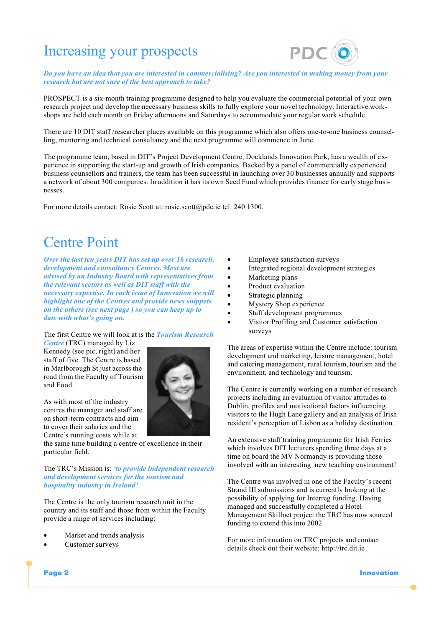# Increasing your prospects



*Do you have an idea that you are interested in commercialising? Are you interested in making money from your research but are not sure of the best approach to take?*

PROSPECT is a six-month training programme designed to help you evaluate the commercial potential of your own research project and develop the necessary business skills to fully explore your novel technology. Interactive workshops are held each month on Friday afternoons and Saturdays to accommodate your regular work schedule.

There are 10 DIT staff /researcher places available on this programme which also offers one-to-one business counselling, mentoring and technical consultancy and the next programme will commence in June.

The programme team, based in DIT's Project Development Centre, Docklands Innovation Park, has a wealth of experience in supporting the start-up and growth of Irish companies. Backed by a panel of commercially experienced business counsellors and trainers, the team has been successful in launching over 30 businesses annually and supports a network of about 300 companies. In addition it has its own Seed Fund which provides finance for early stage businesses.

For more details contact: Rosie Scott at: rosie.scott@pdc.ie tel: 240 1300.

# Centre Point

*Over the last ten years DIT has set up over 16 research, development and consultancy Centres. Most are advised by an Industry Board with representatives from the relevant sectors as well as DIT staff with the necessary expertise. In each issue of Innovation we will highlight one of the Centres and provide news snippets on the others (see next page ) so you can keep up to date with what's going on.* 

The first Centre we will look at is the *Tourism Research* 

*Centre* (TRC) managed by Liz Kennedy (see pic, right) and her staff of five. The Centre is based in Marlborough St just across the road from the Faculty of Tourism and Food.

As with most of the industry centres the manager and staff are on short-term contracts and aim to cover their salaries and the Centre's running costs while at

the same time building a centre of excellence in their particular field.

The TRC's Mission is: *'to provide independent research and development services for the tourism and hospitality industry in Ireland'*.

The Centre is the only tourism research unit in the country and its staff and those from within the Faculty provide a range of services including:

- Market and trends analysis
- Customer surveys



- Employee satisfaction surveys
- Integrated regional development strategies
- Marketing plans
- Product evaluation
- Strategic planning
- Mystery Shop experience
- Staff development programmes
- Visitor Profiling and Customer satisfaction surveys

The areas of expertise within the Centre include: tourism development and marketing, leisure management, hotel and catering management, rural tourism, tourism and the environment, and technology and tourism.

The Centre is currently working on a number of research projects including an evaluation of visitor attitudes to Dublin, profiles and motivational factors influencing visitors to the Hugh Lane gallery and an analysis of Irish resident's perception of Lisbon as a holiday destination.

An extensive staff training programme fo r Irish Ferries which involves DIT lecturers spending three days at a time on board the MV Normandy is providing those involved with an interesting new teaching environment!

The Centre was involved in one of the Faculty's recent Strand III submissions and is currently looking at the possibility of applying for Interreg funding. Having managed and successfully completed a Hotel Management Skillnet project the TRC has now sourced funding to extend this into 2002.

For more information on TRC projects and contact details check out their website: http://trc.dit.ie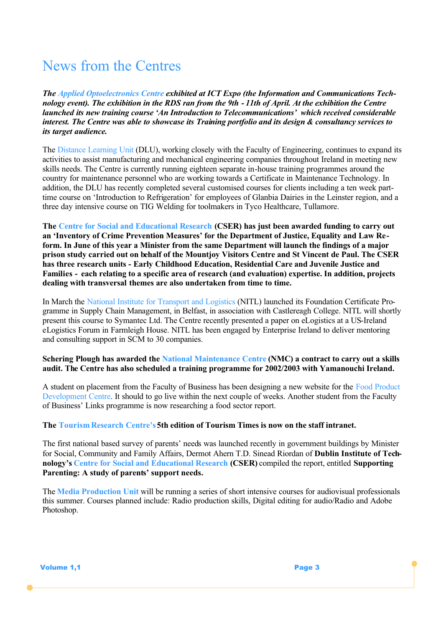# News from the Centres

*The Applied Optoelectronics Centre exhibited at ICT Expo (the Information and Communications Technology event). The exhibition in the RDS ran from the 9th - 11th of April. At the exhibition the Centre launched its new training course 'An Introduction to Telecommunications' which received considerable interest. The Centre was able to showcase its Training portfolio and its design & consultancy services to its target audience.*

The Distance Learning Unit (DLU), working closely with the Faculty of Engineering, continues to expand its activities to assist manufacturing and mechanical engineering companies throughout Ireland in meeting new skills needs. The Centre is currently running eighteen separate in-house training programmes around the country for maintenance personnel who are working towards a Certificate in Maintenance Technology. In addition, the DLU has recently completed several customised courses for clients including a ten week parttime course on 'Introduction to Refrigeration' for employees of Glanbia Dairies in the Leinster region, and a three day intensive course on TIG Welding for toolmakers in Tyco Healthcare, Tullamore.

**The Centre for Social and Educational Research (CSER) has just been awarded funding to carry out an 'Inventory of Crime Prevention Measures' for the Department of Justice, Equality and Law Reform. In June of this year a Minister from the same Department will launch the findings of a major prison study carried out on behalf of the Mountjoy Visitors Centre and St Vincent de Paul. The CSER has three research units - Early Childhood Education, Residential Care and Juvenile Justice and Families - each relating to a specific area of research (and evaluation) expertise. In addition, projects dealing with transversal themes are also undertaken from time to time.**

In March the National Institute for Transport and Logistics (NITL) launched its Foundation Certificate Programme in Supply Chain Management, in Belfast, in association with Castlereagh College. NITL will shortly present this course to Symantec Ltd. The Centre recently presented a paper on eLogistics at a US-Ireland eLogistics Forum in Farmleigh House. NITL has been engaged by Enterprise Ireland to deliver mentoring and consulting support in SCM to 30 companies.

#### **Schering Plough has awarded the National Maintenance Centre (NMC) a contract to carry out a skills audit. The Centre has also scheduled a training programme for 2002/2003 with Yamanouchi Ireland.**

A student on placement from the Faculty of Business has been designing a new website for the Food Product Development Centre. It should to go live within the next couple of weeks. Another student from the Faculty of Business' Links programme is now researching a food sector report.

### **The Tourism Research Centre's 5th edition of Tourism Times is now on the staff intranet.**

The first national based survey of parents' needs was launched recently in government buildings by Minister for Social, Community and Family Affairs, Dermot Ahern T.D. Sinead Riordan of **Dublin Institute of Technology's Centre for Social and Educational Research (CSER)** compiled the report, entitled **Supporting Parenting: A study of parents' support needs.**

The **Media Production Unit** will be running a series of short intensive courses for audiovisual professionals this summer. Courses planned include: Radio production skills, Digital editing for audio/Radio and Adobe Photoshop.

**Volume 1,1** Page 3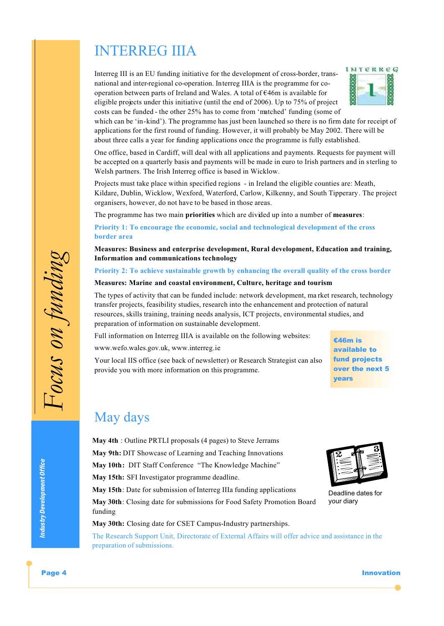# INTERREG IIIA

Interreg III is an EU funding initiative for the development of cross-border, transnational and inter-regional co-operation. Interreg IIIA is the programme for cooperation between parts of Ireland and Wales. A total of €46m is available for eligible projects under this initiative (until the end of 2006). Up to 75% of project costs can be funded - the other 25% has to come from 'matched' funding (some of



which can be 'in-kind'). The programme has just been launched so there is no firm date for receipt of applications for the first round of funding. However, it will probably be May 2002. There will be about three calls a year for funding applications once the programme is fully established.

One office, based in Cardiff, will deal with all applications and payments. Requests for payment will be accepted on a quarterly basis and payments will be made in euro to Irish partners and in sterling to Welsh partners. The Irish Interreg office is based in Wicklow.

Projects must take place within specified regions - in Ireland the eligible counties are: Meath, Kildare, Dublin, Wicklow, Wexford, Waterford, Carlow, Kilkenny, and South Tipperary. The project organisers, however, do not have to be based in those areas.

The programme has two main **priorities** which are divided up into a number of **measures**:

**Priority 1: To encourage the economic, social and technological development of the cross border area**

**Measures: Business and enterprise development, Rural development, Education and training, Information and communications technology**

**Priority 2: To achieve sustainable growth by enhancing the overall quality of the cross border**

#### **Measures: Marine and coastal environment, Culture, heritage and tourism**

The types of activity that can be funded include: network development, ma rket research, technology transfer projects, feasibility studies, research into the enhancement and protection of natural resources, skills training, training needs analysis, ICT projects, environmental studies, and preparation of information on sustainable development.

Full information on Interreg IIIA is available on the following websites:

www.wefo.wales.gov.uk, www.interreg.ie

Your local IIS office (see back of newsletter) or Research Strategist can also provide you with more information on this programme.

€46m is available to fund projects over the next 5 years

Deadline dates for

your diary

### May days

**May 4th** : Outline PRTLI proposals (4 pages) to Steve Jerrams **May 9th:** DIT Showcase of Learning and Teaching Innovations **May 10th:** DIT Staff Conference "The Knowledge Machine" **May 15th:** SFI Investigator programme deadline. **May 15th**: Date for submission of Interreg IIIa funding applications

**May 30th**: Closing date for submissions for Food Safety Promotion Board funding

**May 30th:** Closing date for CSET Campus-Industry partnerships.

The Research Support Unit, Directorate of External Affairs will offer advice and assistance in the preparation of submissions.

Page 4 Innovation and the contract of the contract of the contract of the contract of the contract of the contract of the contract of the contract of the contract of the contract of the contract of the contract of the cont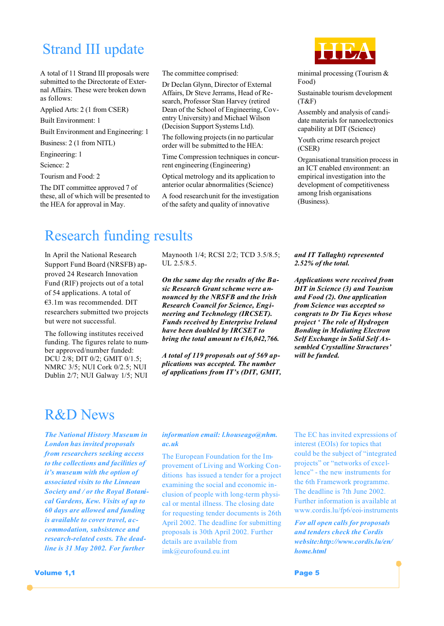# Strand III update

A total of 11 Strand III proposals were submitted to the Directorate of External Affairs. These were broken down as follows:

Applied Arts: 2 (1 from CSER)

Built Environment: 1

Built Environment and Engineering: 1

Business: 2 (1 from NITL)

Engineering: 1

Science: 2

Tourism and Food: 2

The DIT committee approved 7 of these, all of which will be presented to the HEA for approval in May.

The committee comprised:

Dr Declan Glynn, Director of External Affairs, Dr Steve Jerrams, Head of Research, Professor Stan Harvey (retired Dean of the School of Engineering, Coventry University) and Michael Wilson (Decision Support Systems Ltd).

The following projects (in no particular order will be submitted to the HEA:

Time Compression techniques in concurrent engineering (Engineering)

Optical metrology and its application to anterior ocular abnormalities (Science)

A food research unit for the investigation of the safety and quality of innovative

minimal processing (Tourism & Food)

Sustainable tourism development (T&F)

Assembly and analysis of candidate materials for nanoelectronics capability at DIT (Science)

Youth crime research project (CSER)

Organisational transition process in an ICT enabled environment: an empirical investigation into the development of competitiveness among Irish organisations (Business).

# Research funding results

In April the National Research Support Fund Board (NRSFB) approved 24 Research Innovation Fund (RIF) projects out of a total of 54 applications. A total of €3.1m was recommended. DIT researchers submitted two projects but were not successful.

The following institutes received funding. The figures relate to number approved/number funded: DCU 2/8; DIT 0/2; GMIT 0/1.5; NMRC 3/5; NUI Cork 0/2.5; NUI Dublin 2/7; NUI Galway 1/5; NUI

Maynooth 1/4; RCSI 2/2; TCD 3.5/8.5; UL 2.5/8.5.

*On the same day the results of the Basic Research Grant scheme were announced by the NRSFB and the Irish Research Council for Science, Engineering and Technology (IRCSET). Funds received by Enterprise Ireland have been doubled by IRCSET to bring the total amount to €16,042,766.*

*A total of 119 proposals out of 569 applications was accepted. The number of applications from IT's (DIT, GMIT,*  *and IT Tallaght) represented 2.52% of the total.* 

*Applications were received from DIT in Science (3) and Tourism and Food (2). One application from Science was accepted so congrats to Dr Tia Keyes whose project ' The role of Hydrogen Bonding in Mediating Electron Self Exchange in Solid Self Assembled Crystalline Structures' will be funded.* 

### R&D News

*The National History Museum in London has invited proposals from researchers seeking access to the collections and facilities of it's museum with the option of associated visits to the Linnean Society and / or the Royal Botanical Gardens, Kew. Visits of up to 60 days are allowed and funding is available to cover travel, accommodation, subsistence and research-related costs. The deadline is 31 May 2002. For further* 

*information email: l.houseago@nhm. ac.uk*

The European Foundation for the Improvement of Living and Working Conditions has issued a tender for a project examining the social and economic inclusion of people with long-term physical or mental illness. The closing date for requesting tender documents is 26th April 2002. The deadline for submitting proposals is 30th April 2002. Further details are available from imk@eurofound.eu.int

The EC has invited expressions of interest (EOIs) for topics that could be the subject of "integrated projects" or "networks of excellence" - the new instruments for the 6th Framework programme. The deadline is 7th June 2002. Further information is available at www.cordis.lu/fp6/eoi-instruments

*For all open calls for proposals and tenders check the Cordis website:http://www.cordis.lu/en/ home.html*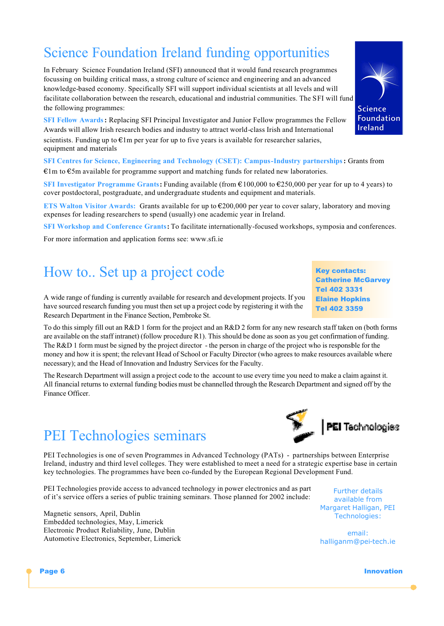# Science Foundation Ireland funding opportunities

In February Science Foundation Ireland (SFI) announced that it would fund research programmes focussing on building critical mass, a strong culture of science and engineering and an advanced knowledge-based economy. Specifically SFI will support individual scientists at all levels and will facilitate collaboration between the research, educational and industrial communities. The SFI will fund the following programmes:

**SFI Fellow Awards:** Replacing SFI Principal Investigator and Junior Fellow programmes the Fellow Awards will allow Irish research bodies and industry to attract world-class Irish and International scientists. Funding up to  $\epsilon$ 1m per year for up to five years is available for researcher salaries, equipment and materials

**SFI Centres for Science, Engineering and Technology (CSET): Campus-Industry partnerships:** Grants from €1m to €5m available for programme support and matching funds for related new laboratories.

**SFI Investigator Programme Grants:** Funding available (from €100,000 to €250,000 per year for up to 4 years) to cover postdoctoral, postgraduate, and undergraduate students and equipment and materials.

**ETS Walton Visitor Awards:** Grants available for up to €200,000 per year to cover salary, laboratory and moving expenses for leading researchers to spend (usually) one academic year in Ireland.

**SFI Workshop and Conference Grants:** To facilitate internationally-focused workshops, symposia and conferences.

For more information and application forms see: www.sfi.ie

# How to.. Set up a project code Key contacts:

A wide range of funding is currently available for research and development projects. If you have sourced research funding you must then set up a project code by registering it with the Research Department in the Finance Section, Pembroke St.

To do this simply fill out an R&D 1 form for the project and an R&D 2 form for any new research staff taken on (both forms are available on the staff intranet) (follow procedure R1). This should be done as soon as you get confirmation of funding. The R&D 1 form must be signed by the project director - the person in charge of the project who is responsible for the money and how it is spent; the relevant Head of School or Faculty Director (who agrees to make resources available where necessary); and the Head of Innovation and Industry Services for the Faculty.

The Research Department will assign a project code to the account to use every time you need to make a claim against it. All financial returns to external funding bodies must be channelled through the Research Department and signed off by the Finance Officer.

# PEI Technologies seminars

PEI Technologies is one of seven Programmes in Advanced Technology (PATs) - partnerships between Enterprise Ireland, industry and third level colleges. They were established to meet a need for a strategic expertise base in certain key technologies. The programmes have been co-funded by the European Regional Development Fund.

PEI Technologies provide access to advanced technology in power electronics and as part of it's service offers a series of public training seminars. Those planned for 2002 include:

Magnetic sensors, April, Dublin Embedded technologies, May, Limerick Electronic Product Reliability, June, Dublin Automotive Electronics, September, Limerick

Further details available from Margaret Halligan, PEI Technologies:

email: halliganm@pei-tech.ie

Page 6 Innovation





**Catherine McGarvey** 

Tel 402 3331 Elaine Hopkins Tel 402 3359

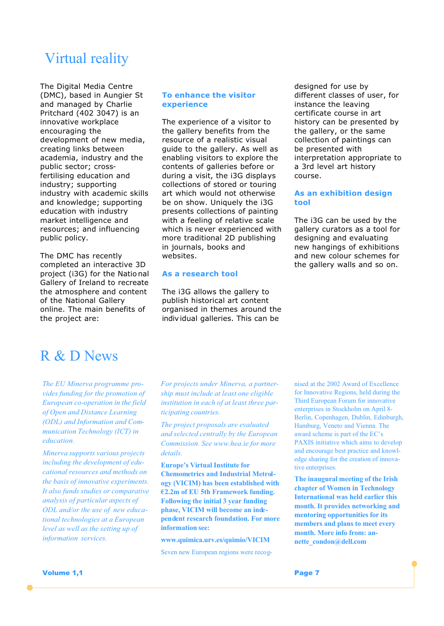# Virtual reality

The Digital Media Centre (DMC), based in Aungier St and managed by Charlie Pritchard (402 3047) is an innovative workplace encouraging the development of new media, creating links between academia, industry and the public sector; crossfertilising education and industry; supporting industry with academic skills and knowledge; supporting education with industry market intelligence and resources; and influencing public policy.

The DMC has recently completed an interactive 3D project (i3G) for the Natio nal Gallery of Ireland to recreate the atmosphere and content of the National Gallery online. The main benefits of the project are:

#### **To enhance the visitor experience**

The experience of a visitor to the gallery benefits from the resource of a realistic visual guide to the gallery. As well as enabling visitors to explore the contents of galleries before or during a visit, the i3G displays collections of stored or touring art which would not otherwise be on show. Uniquely the i3G presents collections of painting with a feeling of relative scale which is never experienced with more traditional 2D publishing in journals, books and websites.

#### **As a research tool**

The i3G allows the gallery to publish historical art content organised in themes around the individual galleries. This can be

designed for use by different classes of user, for instance the leaving certificate course in art history can be presented by the gallery, or the same collection of paintings can be presented with interpretation appropriate to a 3rd level art history course.

#### **As an exhibition design tool**

The i3G can be used by the gallery curators as a tool for designing and evaluating new hangings of exhibitions and new colour schemes for the gallery walls and so on.

### R & D News

*The EU Minerva programme provides funding for the promotion of European co-operation in the field of Open and Distance Learning (ODL) and Information and Communication Technology (ICT) in education.*

*Minerva supports various projects including the development of educational resources and methods on the basis of innovative experiments. It also funds studies or comparative analysis of particular aspects of ODL and/or the use of new educational technologies at a European level as well as the setting up of information services.*

*For projects under Minerva, a partnership must include at least one eligible institution in each of at least three participating countries.* 

*The project proposals are evaluated and selected centrally by the European Commission. See www.hea.ie for more details.*

**Europe's Virtual Institute for Chemometrics and Industrial Metrology (VICIM) has been established with €2.2m of EU 5th Framework funding. Following the initial 3 year funding phase, VICIM will become an independent research foundation. For more information see:** 

**www.quimica.urv.es/quimio/VICIM**

Seven new European regions were recog-

nised at the 2002 Award of Excellence for Innovative Regions, held during the Third European Forum for innovative enterprises in Stockholm on April 8- Berlin, Copenhagen, Dublin, Edinburgh, Hamburg, Veneto and Vienna. The award scheme is part of the EC's PAXIS initiative which aims to develop and encourage best practice and knowledge sharing for the creation of innovative enterprises.

**The inaugural meeting of the Irish chapter of Women in Technology International was held earlier this month. It provides networking and mentoring opportunities for its members and plans to meet every month. More info from: annette\_condon@dell.com**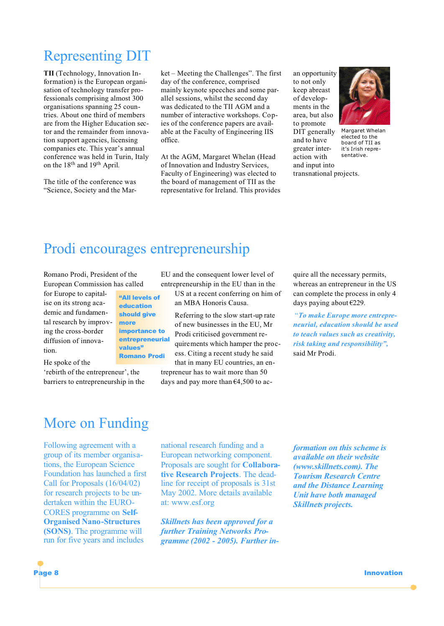# Representing DIT

**TII** (Technology, Innovation Information) is the European organisation of technology transfer professionals comprising almost 300 organisations spanning 25 countries. About one third of members are from the Higher Education sector and the remainder from innovation support agencies, licensing companies etc. This year's annual conference was held in Turin, Italy on the 18<sup>th</sup> and 19<sup>th</sup> April.

The title of the conference was "Science, Society and the Market – Meeting the Challenges". The first day of the conference, comprised mainly keynote speeches and some parallel sessions, whilst the second day was dedicated to the TII AGM and a number of interactive workshops. Copies of the conference papers are available at the Faculty of Engineering IIS office.

At the AGM, Margaret Whelan (Head of Innovation and Industry Services, Faculty of Engineering) was elected to the board of management of TII as the representative for Ireland. This provides an opportunity to not only keep abreast of developments in the area, but also to promote DIT generally and to have greater interaction with and input into transnational projects.



Margaret Whelan elected to the board of TII as it's Irish representative.

# Prodi encourages entrepreneurship

Romano Prodi, President of the European Commission has called

for Europe to capitalise on its strong academic and fundamental research by improving the cross-border diffusion of innovation.

"All levels of education should give more importance to entrepreneurial values" Romano Prodi

He spoke of the

'rebirth of the entrepreneur', the barriers to entrepreneurship in the

EU and the consequent lower level of entrepreneurship in the EU than in the

US at a recent conferring on him of an MBA Honoris Causa.

Referring to the slow start-up rate of new businesses in the EU, Mr Prodi criticised government requirements which hamper the process. Citing a recent study he said that in many EU countries, an entrepreneur has to wait more than 50

days and pay more than  $64,500$  to ac-

quire all the necessary permits, whereas an entrepreneur in the US can complete the process in only 4 days paying about €229.

"*To make Europe more entrepreneurial, education should be used to teach values such as creativity, risk taking and responsibility",*  said Mr Prodi.

# More on Funding

Following agreement with a group of its member organisations, the European Science Foundation has launched a first Call for Proposals (16/04/02) for research projects to be undertaken within the EURO-CORES programme on **Self-Organised Nano-Structures (SONS)**. The programme will run for five years and includes

national research funding and a European networking component. Proposals are sought for **Collaborative Research Projects**. The deadline for receipt of proposals is 31st May 2002. More details available at: www.esf.org

*Skillnets has been approved for a further Training Networks Programme (2002 - 2005). Further in-* *formation on this scheme is available on their website (www.skillnets.com). The Tourism Research Centre and the Distance Learning Unit have both managed Skillnets projects.*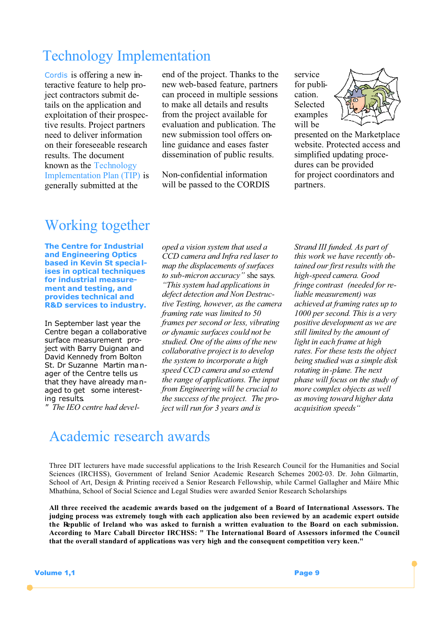# Technology Implementation

Cordis is offering a new interactive feature to help project contractors submit details on the application and exploitation of their prospective results. Project partners need to deliver information on their foreseeable research results. The document known as the Technology Implementation Plan (TIP) is generally submitted at the

end of the project. Thanks to the new web-based feature, partners can proceed in multiple sessions to make all details and results from the project available for evaluation and publication. The new submission tool offers online guidance and eases faster dissemination of public results.

Non-confidential information will be passed to the CORDIS service for publication. Selected examples will be



presented on the Marketplace website. Protected access and simplified updating procedures can be provided for project coordinators and partners.

# Working together

**The Centre for Industrial and Engineering Optics based in Kevin St specia lises in optical techniques for industrial measurement and testing, and provides technical and R&D services to industry.**

In September last year the Centre began a collaborative surface measurement project with Barry Duignan and David Kennedy from Bolton St. Dr Suzanne Martin manager of the Centre tells us that they have already ma naged to get some interesting results*.*

*" The IEO centre had devel-*

*oped a vision system that used a CCD camera and Infra red laser to map the displacements of surfaces to sub-micron accuracy"* she says*. "This system had applications in defect detection and Non Destructive Testing, however, as the camera framing rate was limited to 50 frames per second or less, vibrating or dynamic surfaces could not be studied. One of the aims of the new collaborative project is to develop the system to incorporate a high speed CCD camera and so extend the range of applications. The input from Engineering will be crucial to the success of the project. The project will run for 3 years and is* 

*Strand III funded. As part of this work we have recently obtained our first results with the high-speed camera. Good fringe contrast (needed for reliable measurement) was achieved at framing rates up to 1000 per second. This is a very positive development as we are still limited by the amount of light in each frame at high rates. For these tests the object being studied was a simple disk rotating in-plane. The next phase will focus on the study of more complex objects as well as moving toward higher data acquisition speeds"*

# Academic research awards

Three DIT lecturers have made successful applications to the Irish Research Council for the Humanities and Social Sciences (IRCHSS), Government of Ireland Senior Academic Research Schemes 2002-03. Dr. John Gilmartin, School of Art, Design & Printing received a Senior Research Fellowship, while Carmel Gallagher and Máire Mhic Mhathúna, School of Social Science and Legal Studies were awarded Senior Research Scholarships

**All three received the academic awards based on the judgement of a Board of International Assessors. The judging process was extremely tough with each application also been reviewed by an academic expert outside the Republic of Ireland who was asked to furnish a written evaluation to the Board on each submission. According to Marc Caball Director IRCHSS: " The International Board of Assessors informed the Council that the overall standard of applications was very high and the consequent competition very keen."**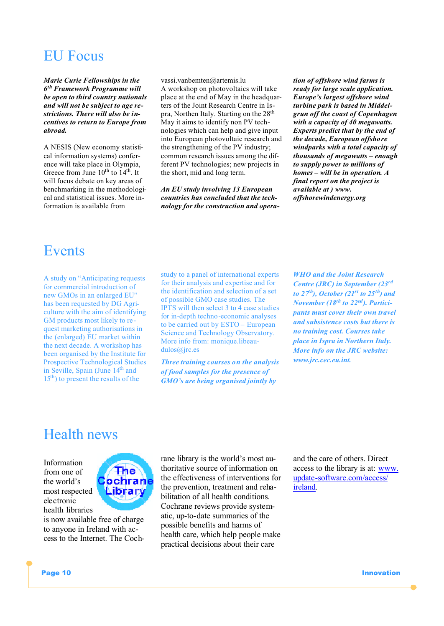# EU Focus

*Marie Curie Fellowships in the 6th Framework Programme will be open to third country nationals and will not be subject to age restrictions. There will also be incentives to return to Europe from abroad.*

A NESIS (New economy statistical information systems) conference will take place in Olympia, Greece from June 10<sup>th</sup> to 14<sup>th</sup>. It will focus debate on key areas of benchmarking in the methodological and statistical issues. More information is available from

vassi.vanbemten@artemis.lu A workshop on photovoltaics will take place at the end of May in the headquarters of the Joint Research Centre in Ispra, Northen Italy. Starting on the 28<sup>th</sup> May it aims to identify non PV technologies which can help and give input into European photovoltaic research and the strengthening of the PV industry; common research issues among the different PV technologies; new projects in the short, mid and long term.

*An EU study involving 13 European countries has concluded that the technology for the construction and opera-*

*tion of offshore wind farms is ready for large scale application. Europe's largest offshore wind turbine park is based in Middelgrun off the coast of Copenhagen with a capacity of 40 megawatts. Experts predict that by the end of the decade, European offshore windparks with a total capacity of thousands of megawatts – enough to supply power to millions of homes – will be in operation. A final report on the project is available at ) www. offshorewindenergy.org*

### Events

A study on "Anticipating requests for commercial introduction of new GMOs in an enlarged EU" has been requested by DG Agriculture with the aim of identifying GM products most likely to request marketing authorisations in the (enlarged) EU market within the next decade. A workshop has been organised by the Institute for Prospective Technological Studies in Seville, Spain (June 14th and 15th) to present the results of the

study to a panel of international experts for their analysis and expertise and for the identification and selection of a set of possible GMO case studies. The IPTS will then select 3 to 4 case studies for in-depth techno-economic analyses to be carried out by ESTO – European Science and Technology Observatory. More info from: monique.libeaudulos@jrc.es

*Three training courses on the analysis of food samples for the presence of GMO's are being organised jointly by* 

*WHO and the Joint Research Centre (JRC) in September (23rd to 27th), October (21st to 25th) and November (18th to 22nd). Participants must cover their own travel and subsistence costs but there is no training cost. Courses take place in Ispra in Northern Italy. More info on the JRC website: www.jrc.cec.eu.int.*

### Health news

Information from one of the world's most respected electronic health libraries

is now available free of charge to anyone in Ireland with access to the Internet. The Coch-

ne ochrane Library

rane library is the world's most authoritative source of information on the effectiveness of interventions for the prevention, treatment and rehabilitation of all health conditions. Cochrane reviews provide systematic, up-to-date summaries of the possible benefits and harms of health care, which help people make practical decisions about their care

and the care of others. Direct access to the library is at: www. update-software.com/access/ ireland.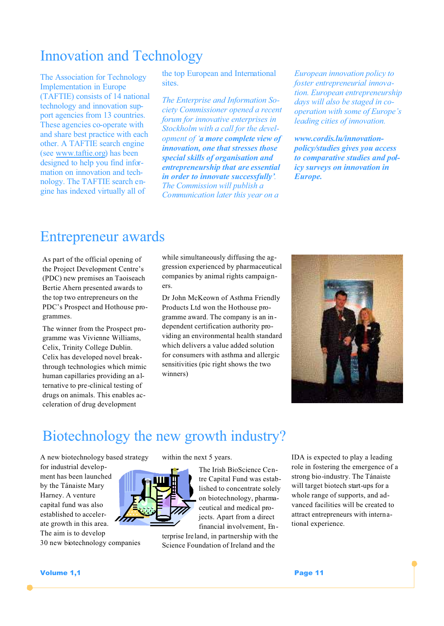# Innovation and Technology

The Association for Technology Implementation in Europe (TAFTIE) consists of 14 national technology and innovation support agencies from 13 countries. These agencies co-operate with and share best practice with each other. A TAFTIE search engine (see www.taftie.org) has been designed to help you find information on innovation and technology. The TAFTIE search engine has indexed virtually all of

the top European and International sites.

*The Enterprise and Information Society Commissioner opened a recent forum for innovative enterprises in Stockholm with a call for the development of 'a more complete view of innovation, one that stresses those special skills of organisation and entrepreneurship that are essential in order to innovate successfully'. The Commission will publish a Communication later this year on a* 

*European innovation policy to foster entrepreneurial innovation. European entrepreneurship days will also be staged in cooperation with some of Europe's leading cities of innovation.* 

*www.cordis.lu/innovationpolicy/studies gives you access to comparative studies and policy surveys on innovation in Europe.*

### Entrepreneur awards

As part of the official opening of the Project Development Centre's (PDC) new premises an Taoiseach Bertie Ahern presented awards to the top two entrepreneurs on the PDC's Prospect and Hothouse programmes.

The winner from the Prospect programme was Vivienne Williams, Celix, Trinity College Dublin. Celix has developed novel breakthrough technologies which mimic human capillaries providing an alternative to pre-clinical testing of drugs on animals. This enables acceleration of drug development

while simultaneously diffusing the aggression experienced by pharmaceutical companies by animal rights campaigners.

Dr John McKeown of Asthma Friendly Products Ltd won the Hothouse programme award. The company is an independent certification authority providing an environmental health standard which delivers a value added solution for consumers with asthma and allergic sensitivities (pic right shows the two winners)



# Biotechnology the new growth industry?

A new biotechnology based strategy

for industrial development has been launched by the Tánaiste Mary Harney. A venture capital fund was also established to accelerate growth in this area. The aim is to develop 30 new biotechnology companies within the next 5 years.



The Irish BioScience Centre Capital Fund was established to concentrate solely on biotechnology, pharmaceutical and medical projects. Apart from a direct financial involvement, En-

terprise Ireland, in partnership with the Science Foundation of Ireland and the

IDA is expected to play a leading role in fostering the emergence of a strong bio-industry. The Tánaiste will target biotech start-ups for a whole range of supports, and advanced facilities will be created to attract entrepreneurs with international experience.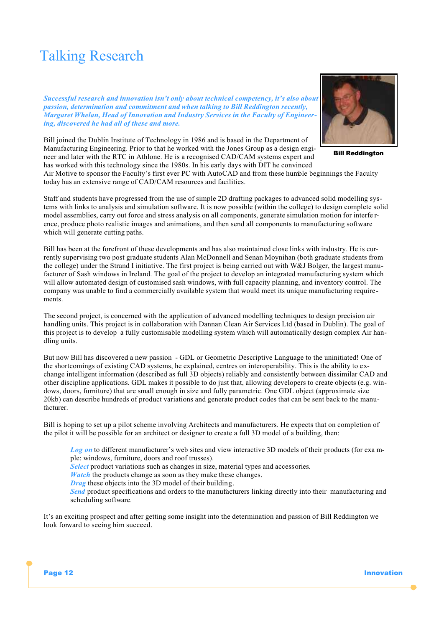# Talking Research

*Successful research and innovation isn't only about technical competency, it's also about passion, determination and commitment and when talking to Bill Reddington recently, Margaret Whelan, Head of Innovation and Industry Services in the Faculty of Engineering, discovered he had all of these and more.*



Bill Reddington

Bill joined the Dublin Institute of Technology in 1986 and is based in the Department of Manufacturing Engineering. Prior to that he worked with the Jones Group as a design engineer and later with the RTC in Athlone. He is a recognised CAD/CAM systems expert and has worked with this technology since the 1980s. In his early days with DIT he convinced

Air Motive to sponsor the Faculty's first ever PC with AutoCAD and from these humble beginnings the Faculty today has an extensive range of CAD/CAM resources and facilities.

Staff and students have progressed from the use of simple 2D drafting packages to advanced solid modelling systems with links to analysis and simulation software. It is now possible (within the college) to design complete solid model assemblies, carry out force and stress analysis on all components, generate simulation motion for interfe rence, produce photo realistic images and animations, and then send all components to manufacturing software which will generate cutting paths.

Bill has been at the forefront of these developments and has also maintained close links with industry. He is currently supervising two post graduate students Alan McDonnell and Senan Moynihan (both graduate students from the college) under the Strand I initiative. The first project is being carried out with W&J Bolger, the largest manufacturer of Sash windows in Ireland. The goal of the project to develop an integrated manufacturing system which will allow automated design of customised sash windows, with full capacity planning, and inventory control. The company was unable to find a commercially available system that would meet its unique manufacturing requirements.

The second project, is concerned with the application of advanced modelling techniques to design precision air handling units. This project is in collaboration with Dannan Clean Air Services Ltd (based in Dublin). The goal of this project is to develop a fully customisable modelling system which will automatically design complex Air handling units.

But now Bill has discovered a new passion - GDL or Geometric Descriptive Language to the uninitiated! One of the shortcomings of existing CAD systems, he explained, centres on interoperability. This is the ability to exchange intelligent information (described as full 3D objects) reliably and consistently between dissimilar CAD and other discipline applications. GDL makes it possible to do just that, allowing developers to create objects (e.g. windows, doors, furniture) that are small enough in size and fully parametric. One GDL object (approximate size 20kb) can describe hundreds of product variations and generate product codes that can be sent back to the manufacturer.

Bill is hoping to set up a pilot scheme involving Architects and manufacturers. He expects that on completion of the pilot it will be possible for an architect or designer to create a full 3D model of a building, then:

*Log on* to different manufacturer's web sites and view interactive 3D models of their products (for exa mple: windows, furniture, doors and roof trusses).

*Select* product variations such as changes in size, material types and accessories.

*Watch* the products change as soon as they make these changes.

*Drag* these objects into the 3D model of their building.

**Send** product specifications and orders to the manufacturers linking directly into their manufacturing and scheduling software.

It's an exciting prospect and after getting some insight into the determination and passion of Bill Reddington we look forward to seeing him succeed.

Page 12 Innovation and the contract of the contract of the contract of the contract of the contract of the contract of the contract of the contract of the contract of the contract of the contract of the contract of the con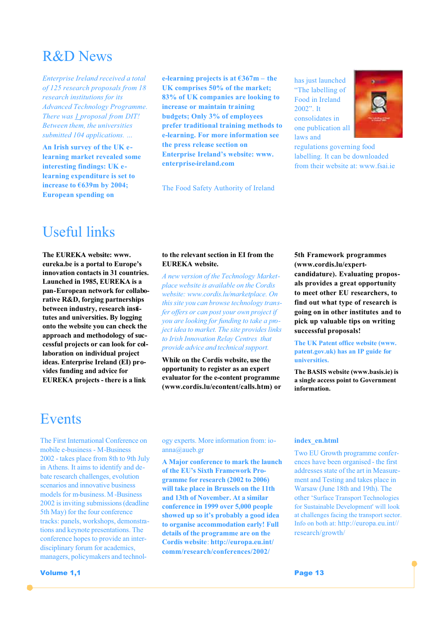### R&D News

*Enterprise Ireland received a total of 125 research proposals from 18 research institutions for its Advanced Technology Programme. There was 1 proposal from DIT! Between them, the universities submitted 104 applications. …*

**An Irish survey of the UK elearning market revealed some interesting findings: UK elearning expenditure is set to increase to €639m by 2004; European spending on** 

**e-learning projects is at €367m – the UK comprises 50% of the market; 83% of UK companies are looking to increase or maintain training budgets; Only 3% of employees prefer traditional training methods to e-learning. For more information see the press release section on Enterprise Ireland's website: www. enterprise-ireland.com**

The Food Safety Authority of Ireland

has just launched "The labelling of Food in Ireland 2002". It consolidates in one publication all laws and



regulations governing food labelling. It can be downloaded from their website at: www.fsai.ie

### Useful links

**The EUREKA website: www. eureka.be is a portal to Europe's innovation contacts in 31 countries. Launched in 1985, EUREKA is a pan-European network for collaborative R&D, forging partnerships between industry, research institutes and universities. By logging onto the website you can check the approach and methodology of successful projects or can look for collaboration on individual project ideas. Enterprise Ireland (EI) provides funding and advice for EUREKA projects - there is a link** 

#### **to the relevant section in EI from the EUREKA website.**

*A new version of the Technology Marketplace website is available on the Cordis website: www.cordis.lu/marketplace. On this site you can browse technology transfer offers or can post your own project if you are looking for funding to take a project idea to market. The site provides links to Irish Innovation Relay Centres that provide advice and technical support.* 

**While on the Cordis website, use the opportunity to register as an expert evaluator for the e-content programme (www.cordis.lu/econtent/calls.htm) or**  **5th Framework programmes (www.cordis.lu/expertcandidature). Evaluating proposals provides a great opportunity to meet other EU researchers, to find out what type of research is going on in other institutes and to pick up valuable tips on writing successful proposals!** 

**The UK Patent office website (www. patent.gov.uk) has an IP guide for universities.**

**The BASIS website (www.basis.ie) is a single access point to Government information.**

### Events

The First International Conference on mobile e-business - M-Business 2002 - takes place from 8th to 9th July in Athens. It aims to identify and debate research challenges, evolution scenarios and innovative business models for m-business. M -Business 2002 is inviting submissions (deadline 5th May) for the four conference tracks: panels, workshops, demonstrations and keynote presentations. The conference hopes to provide an interdisciplinary forum for academics, managers, policymakers and technol-

**A Major conference to mark the launch** 

anna@aueb.gr

ogy experts. More information from: io-

**of the EU's Sixth Framework Programme for research (2002 to 2006) will take place in Brussels on the 11th and 13th of November. At a similar conference in 1999 over 5,000 people showed up so it's probably a good idea to organise accommodation early! Full details of the programme are on the Cordis website**: **http://europa.eu.int/ comm/research/conferences/2002/**

#### **index\_en.html**

Two EU Growth programme conferences have been organised - the first addresses state of the art in Measurement and Testing and takes place in Warsaw (June 18th and 19th). The other 'Surface Transport Technologies for Sustainable Development' will look at challenges facing the transport sector. Info on both at: http://europa.eu.int// research/growth/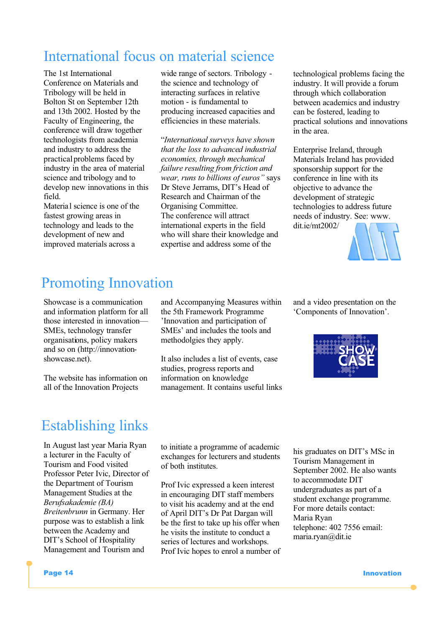# International focus on material science

The 1st International Conference on Materials and Tribology will be held in Bolton St on September 12th and 13th 2002. Hosted by the Faculty of Engineering, the conference will draw together technologists from academia and industry to address the practical problems faced by industry in the area of material science and tribology and to develop new innovations in this field.

Material science is one of the fastest growing areas in technology and leads to the development of new and improved materials across a

wide range of sectors. Tribology the science and technology of interacting surfaces in relative motion - is fundamental to producing increased capacities and efficiencies in these materials.

"*International surveys have shown that the loss to advanced industrial economies, through mechanical failure resulting from friction and wear, runs to billions of euros"* says Dr Steve Jerrams, DIT's Head of Research and Chairman of the Organising Committee. The conference will attract international experts in the field who will share their knowledge and expertise and address some of the

technological problems facing the industry. It will provide a forum through which collaboration between academics and industry can be fostered, leading to practical solutions and innovations in the area.

Enterprise Ireland, through Materials Ireland has provided sponsorship support for the conference in line with its objective to advance the development of strategic technologies to address future needs of industry. See: www. dit.ie/mt2002/



# Promoting Innovation

Showcase is a communication and information platform for all those interested in innovation— SMEs, technology transfer organisations, policy makers and so on (http://innovationshowcase.net).

The website has information on all of the Innovation Projects

and Accompanying Measures within the 5th Framework Programme 'Innovation and participation of SMEs' and includes the tools and methodolgies they apply.

It also includes a list of events, case studies, progress reports and information on knowledge management. It contains useful links and a video presentation on the 'Components of Innovation'.



# Establishing links

In August last year Maria Ryan a lecturer in the Faculty of Tourism and Food visited Professor Peter Ivic, Director of the Department of Tourism Management Studies at the *Berufsakademie (BA) Breitenbrunn* in Germany. Her purpose was to establish a link between the Academy and DIT's School of Hospitality Management and Tourism and

to initiate a programme of academic exchanges for lecturers and students of both institutes.

Prof Ivic expressed a keen interest in encouraging DIT staff members to visit his academy and at the end of April DIT's Dr Pat Dargan will be the first to take up his offer when he visits the institute to conduct a series of lectures and workshops. Prof Ivic hopes to enrol a number of his graduates on DIT's MSc in Tourism Management in September 2002. He also wants to accommodate DIT undergraduates as part of a student exchange programme. For more details contact: Maria Ryan telephone: 402 7556 email: maria.ryan@dit.ie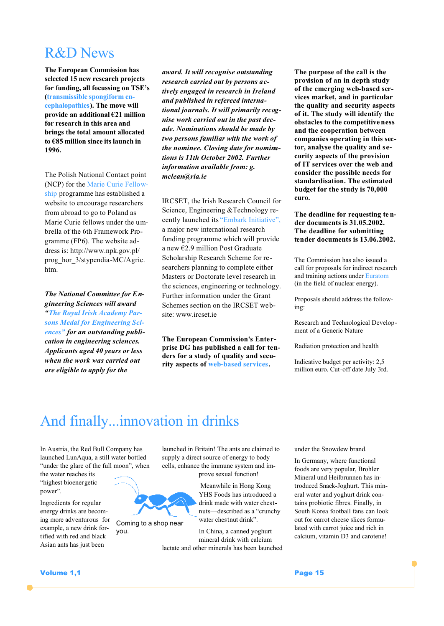### R&D News

**The European Commission has selected 15 new research projects for funding, all focussing on TSE's (transmissible spongiform encephalopathies). The move will provide an additional €21 million for research in this area and brings the total amount allocated to €85 million since its launch in 1996.**

The Polish National Contact point (NCP) for the Marie Curie Fellowship programme has established a website to encourage researchers from abroad to go to Poland as Marie Curie fellows under the umbrella of the 6th Framework Programme (FP6). The website address is: http://www.npk.gov.pl/ prog\_hor\_3/stypendia-MC/Agric. htm.

*The National Committee for Engineering Sciences will award "The Royal Irish Academy Parsons Medal for Engineering Sciences" for an outstanding publication in engineering sciences. Applicants aged 40 years or less when the work was carried out are eligible to apply for the* 

*award. It will recognise outstanding research carried out by persons actively engaged in research in Ireland and published in refereed international journals. It will primarily recognise work carried out in the past decade. Nominations should be made by two persons familiar with the work of the nominee. Closing date for nominations is 11th October 2002. Further information available from: g. mclean@ria.ie*

IRCSET, the Irish Research Council for Science, Engineering &Technology recently launched its "Embark Initiative", a major new international research funding programme which will provide a new €2.9 million Post Graduate Scholarship Research Scheme for researchers planning to complete either Masters or Doctorate level research in the sciences, engineering or technology. Further information under the Grant Schemes section on the IRCSET website: www.ircset.ie

**The European Commission's Enterprise DG has published a call for tenders for a study of quality and security aspects of web-based services.**

**The purpose of the call is the provision of an in depth study of the emerging web-based services market, and in particular the quality and security aspects of it. The study will identify the obstacles to the competitive ness and the cooperation between companies operating in this sector, analyse the quality and security aspects of the provision of IT services over the web and consider the possible needs for standardisation. The estimated budget for the study is 70,000 euro.**

**The deadline for requesting te nder documents is 31.05.2002. The deadline for submitting tender documents is 13.06.2002.** 

The Commission has also issued a call for proposals for indirect research and training actions under Euratom (in the field of nuclear energy).

Proposals should address the following:

Research and Technological Development of a Generic Nature

Radiation protection and health

Indicative budget per activity: 2,5 million euro. Cut-off date July 3rd.

# And finally...innovation in drinks

Coming to a shop near

you.

In Austria, the Red Bull Company has launched LunAqua, a still water bottled "under the glare of the full moon", when

the water reaches its "highest bioenergetic power".

Ingredients for regular energy drinks are becoming more adventurous for example, a new drink fortified with red and black Asian ants has just been

launched in Britain! The ants are claimed to supply a direct source of energy to body cells, enhance the immune system and improve sexual function!

> Meanwhile in Hong Kong YHS Foods has introduced a drink made with water chestnuts—described as a "crunchy water chestnut drink".

In China, a canned yoghurt mineral drink with calcium lactate and other minerals has been launched under the Snowdew brand.

In Germany, where functional foods are very popular, Brohler Mineral und Heilbrunnen has introduced Snack-Joghurt. This mineral water and yoghurt drink contains probiotic fibres. Finally, in South Korea football fans can look out for carrot cheese slices formulated with carrot juice and rich in calcium, vitamin D3 and carotene!

**Volume 1,1** Page 15